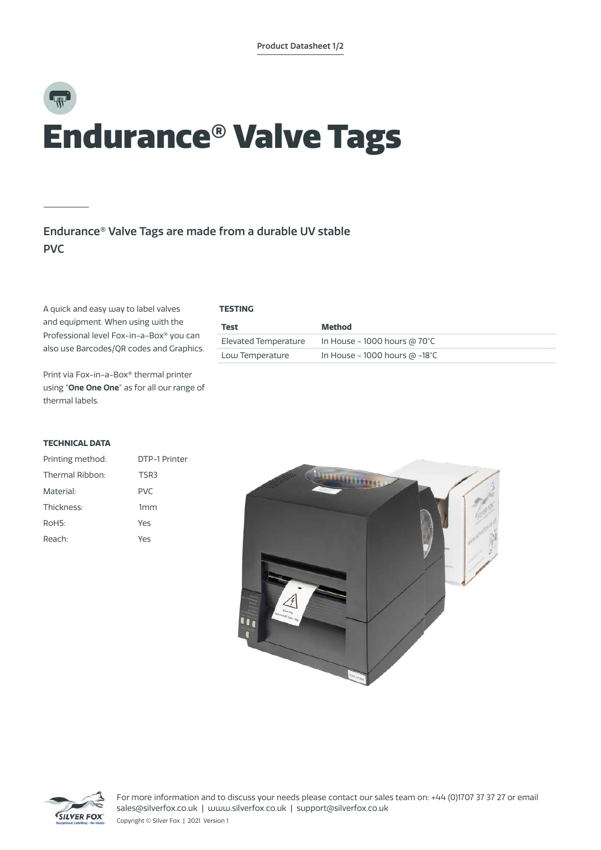# Endurance® Valve Tags

## Endurance® Valve Tags are made from a durable UV stable PVC

A quick and easy way to label valves and equipment. When using with the Professional level Fox-in-a-Box® you can also use Barcodes/QR codes and Graphics.

Print via Fox-in-a-Box® thermal printer using "**One One One**" as for all our range of thermal labels.

### **TECHNICAL DATA**

| Printing method: | DTP-1 Printer   |  |  |
|------------------|-----------------|--|--|
| Thermal Ribbon:  | TSR3            |  |  |
| Material:        | <b>PVC</b>      |  |  |
| Thickness:       | 1 <sub>mm</sub> |  |  |
| RoHS:            | Yes             |  |  |
| Reach:           | Yes             |  |  |



| Test                 | Method                               |
|----------------------|--------------------------------------|
| Elevated Temperature | In House - 1000 hours @ 70°C         |
| Low Temperature      | In House - 1000 hours $\omega$ -18°C |





For more information and to discuss your needs please contact our sales team on: +44 (0)1707 37 37 27 or email sales@silverfox.co.uk | www.silverfox.co.uk | support@silverfox.co.uk Copyright © Silver Fox | 2021 Version 1